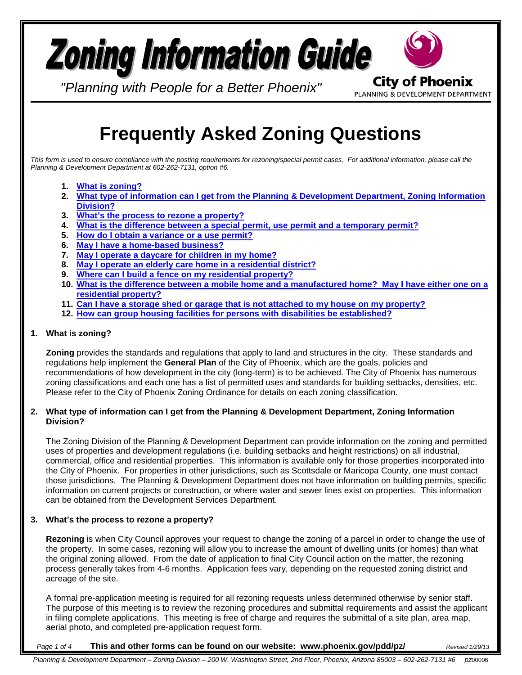# **Zoning Information Guide City of Phoenix**

*"Planning with People for a Better Phoenix"*

PLANNING & DEVELOPMENT DEPARTMENT

# **Frequently Asked Zoning Questions**

*This form is used to ensure compliance with the posting requirements for rezoning/special permit cases. For additional information, please call the Planning & Development Department at 602-262-7131, option #6.*

- **1. [What is zoning?](#page-0-0)**
- **2. [What type of information can I get from the Planning & Development Department, Zoning Information](#page-0-1)  [Division?](#page-0-1)**
- **3. [What's the process to rezone a property?](#page-0-2)**
- **4. [What is the difference between a special permit, use permit and a temporary permit?](#page-1-0)**
- **5. [How do I obtain a variance or a use permit?](#page-1-1)**
- **6. [May I have a home-based business?](#page-2-0)**
- **7. May I operate [a daycare for children in my home?](#page-2-1)**
- **8. [May I operate an elderly care home in a residential district?](#page-2-2)**
- **9. [Where can I build a fence on my residential property?](#page-2-3)**
- **10. [What is the difference between a mobile home and a manufactured home? May I have either one on a](#page-3-0)  [residential property?](#page-3-0)**
- **11. [Can I have a storage shed or garage that is not attached to my house on my property?](#page-3-1)**
- **12. [How can group housing facilities for persons with disabilities be established?](#page-3-2)**

#### <span id="page-0-0"></span>**1. What is zoning?**

**Zoning** provides the standards and regulations that apply to land and structures in the city. These standards and regulations help implement the **General Plan** of the City of Phoenix, which are the goals, policies and recommendations of how development in the city (long-term) is to be achieved. The City of Phoenix has numerous zoning classifications and each one has a list of permitted uses and standards for building setbacks, densities, etc. Please refer to the City of Phoenix Zoning Ordinance for details on each zoning classification.

#### <span id="page-0-1"></span>**2. What type of information can I get from the Planning & Development Department, Zoning Information Division?**

The Zoning Division of the Planning & Development Department can provide information on the zoning and permitted uses of properties and development regulations (i.e. building setbacks and height restrictions) on all industrial, commercial, office and residential properties. This information is available only for those properties incorporated into the City of Phoenix. For properties in other jurisdictions, such as Scottsdale or Maricopa County, one must contact those jurisdictions. The Planning & Development Department does not have information on building permits, specific information on current projects or construction, or where water and sewer lines exist on properties. This information can be obtained from the Development Services Department.

#### <span id="page-0-2"></span>**3. What's the process to rezone a property?**

**Rezoning** is when City Council approves your request to change the zoning of a parcel in order to change the use of the property. In some cases, rezoning will allow you to increase the amount of dwelling units (or homes) than what the original zoning allowed. From the date of application to final City Council action on the matter, the rezoning process generally takes from 4-6 months. Application fees vary, depending on the requested zoning district and acreage of the site.

A formal pre-application meeting is required for all rezoning requests unless determined otherwise by senior staff. The purpose of this meeting is to review the rezoning procedures and submittal requirements and assist the applicant in filing complete applications. This meeting is free of charge and requires the submittal of a site plan, area map, aerial photo, and completed pre-application request form.

#### *Page 1 of 4* **This and other forms can be found on our website: www.phoenix.gov/pdd/pz/** *Revised 1/29/13*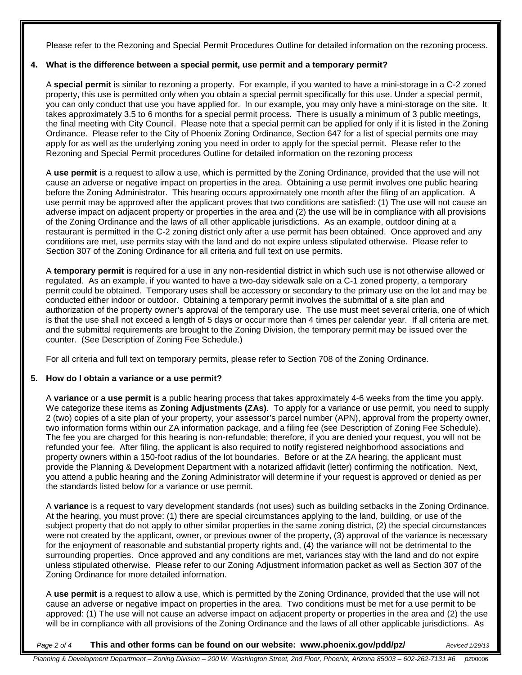Please refer to the Rezoning and Special Permit Procedures Outline for detailed information on the rezoning process.

# <span id="page-1-0"></span>**4. What is the difference between a special permit, use permit and a temporary permit?**

A **special permit** is similar to rezoning a property. For example, if you wanted to have a mini-storage in a C-2 zoned property, this use is permitted only when you obtain a special permit specifically for this use. Under a special permit, you can only conduct that use you have applied for. In our example, you may only have a mini-storage on the site. It takes approximately 3.5 to 6 months for a special permit process. There is usually a minimum of 3 public meetings, the final meeting with City Council. Please note that a special permit can be applied for only if it is listed in the Zoning Ordinance. Please refer to the City of Phoenix Zoning Ordinance, Section 647 for a list of special permits one may apply for as well as the underlying zoning you need in order to apply for the special permit. Please refer to the Rezoning and Special Permit procedures Outline for detailed information on the rezoning process

A **use permit** is a request to allow a use, which is permitted by the Zoning Ordinance, provided that the use will not cause an adverse or negative impact on properties in the area. Obtaining a use permit involves one public hearing before the Zoning Administrator. This hearing occurs approximately one month after the filing of an application. A use permit may be approved after the applicant proves that two conditions are satisfied: (1) The use will not cause an adverse impact on adjacent property or properties in the area and (2) the use will be in compliance with all provisions of the Zoning Ordinance and the laws of all other applicable jurisdictions. As an example, outdoor dining at a restaurant is permitted in the C-2 zoning district only after a use permit has been obtained. Once approved and any conditions are met, use permits stay with the land and do not expire unless stipulated otherwise. Please refer to Section 307 of the Zoning Ordinance for all criteria and full text on use permits.

A **temporary permit** is required for a use in any non-residential district in which such use is not otherwise allowed or regulated. As an example, if you wanted to have a two-day sidewalk sale on a C-1 zoned property, a temporary permit could be obtained. Temporary uses shall be accessory or secondary to the primary use on the lot and may be conducted either indoor or outdoor. Obtaining a temporary permit involves the submittal of a site plan and authorization of the property owner's approval of the temporary use. The use must meet several criteria, one of which is that the use shall not exceed a length of 5 days or occur more than 4 times per calendar year. If all criteria are met, and the submittal requirements are brought to the Zoning Division, the temporary permit may be issued over the counter. (See Description of Zoning Fee Schedule.)

For all criteria and full text on temporary permits, please refer to Section 708 of the Zoning Ordinance.

# <span id="page-1-1"></span>**5. How do I obtain a variance or a use permit?**

A **variance** or a **use permit** is a public hearing process that takes approximately 4-6 weeks from the time you apply. We categorize these items as **Zoning Adjustments (ZAs)**. To apply for a variance or use permit, you need to supply 2 (two) copies of a site plan of your property, your assessor's parcel number (APN), approval from the property owner, two information forms within our ZA information package, and a filing fee (see Description of Zoning Fee Schedule). The fee you are charged for this hearing is non-refundable; therefore, if you are denied your request, you will not be refunded your fee. After filing, the applicant is also required to notify registered neighborhood associations and property owners within a 150-foot radius of the lot boundaries. Before or at the ZA hearing, the applicant must provide the Planning & Development Department with a notarized affidavit (letter) confirming the notification. Next, you attend a public hearing and the Zoning Administrator will determine if your request is approved or denied as per the standards listed below for a variance or use permit.

A **variance** is a request to vary development standards (not uses) such as building setbacks in the Zoning Ordinance. At the hearing, you must prove: (1) there are special circumstances applying to the land, building, or use of the subject property that do not apply to other similar properties in the same zoning district, (2) the special circumstances were not created by the applicant, owner, or previous owner of the property, (3) approval of the variance is necessary for the enjoyment of reasonable and substantial property rights and, (4) the variance will not be detrimental to the surrounding properties. Once approved and any conditions are met, variances stay with the land and do not expire unless stipulated otherwise. Please refer to our Zoning Adjustment information packet as well as Section 307 of the Zoning Ordinance for more detailed information.

A **use permit** is a request to allow a use, which is permitted by the Zoning Ordinance, provided that the use will not cause an adverse or negative impact on properties in the area. Two conditions must be met for a use permit to be approved: (1) The use will not cause an adverse impact on adjacent property or properties in the area and (2) the use will be in compliance with all provisions of the Zoning Ordinance and the laws of all other applicable jurisdictions. As

#### *Page 2 of 4* **This and other forms can be found on our website: www.phoenix.gov/pdd/pz/** *Revised 1/29/13*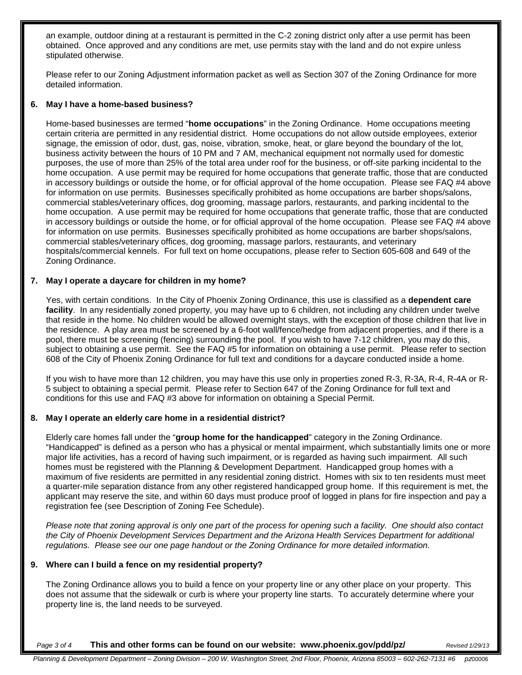an example, outdoor dining at a restaurant is permitted in the C-2 zoning district only after a use permit has been obtained. Once approved and any conditions are met, use permits stay with the land and do not expire unless stipulated otherwise.

Please refer to our Zoning Adjustment information packet as well as Section 307 of the Zoning Ordinance for more detailed information.

#### <span id="page-2-0"></span>**6. May I have a home-based business?**

Home-based businesses are termed "**home occupations**" in the Zoning Ordinance. Home occupations meeting certain criteria are permitted in any residential district. Home occupations do not allow outside employees, exterior signage, the emission of odor, dust, gas, noise, vibration, smoke, heat, or glare beyond the boundary of the lot, business activity between the hours of 10 PM and 7 AM, mechanical equipment not normally used for domestic purposes, the use of more than 25% of the total area under roof for the business, or off-site parking incidental to the home occupation. A use permit may be required for home occupations that generate traffic, those that are conducted in accessory buildings or outside the home, or for official approval of the home occupation. Please see FAQ #4 above for information on use permits. Businesses specifically prohibited as home occupations are barber shops/salons, commercial stables/veterinary offices, dog grooming, massage parlors, restaurants, and parking incidental to the home occupation. A use permit may be required for home occupations that generate traffic, those that are conducted in accessory buildings or outside the home, or for official approval of the home occupation. Please see FAQ #4 above for information on use permits. Businesses specifically prohibited as home occupations are barber shops/salons, commercial stables/veterinary offices, dog grooming, massage parlors, restaurants, and veterinary hospitals/commercial kennels. For full text on home occupations, please refer to Section 605-608 and 649 of the Zoning Ordinance.

#### <span id="page-2-1"></span>**7. May I operate a daycare for children in my home?**

Yes, with certain conditions. In the City of Phoenix Zoning Ordinance, this use is classified as a **dependent care facility**. In any residentially zoned property, you may have up to 6 children, not including any children under twelve that reside in the home. No children would be allowed overnight stays, with the exception of those children that live in the residence. A play area must be screened by a 6-foot wall/fence/hedge from adjacent properties, and if there is a pool, there must be screening (fencing) surrounding the pool. If you wish to have 7-12 children, you may do this, subject to obtaining a use permit. See the FAQ #5 for information on obtaining a use permit. Please refer to section 608 of the City of Phoenix Zoning Ordinance for full text and conditions for a daycare conducted inside a home.

If you wish to have more than 12 children, you may have this use only in properties zoned R-3, R-3A, R-4, R-4A or R-5 subject to obtaining a special permit. Please refer to Section 647 of the Zoning Ordinance for full text and conditions for this use and FAQ #3 above for information on obtaining a Special Permit.

# <span id="page-2-2"></span>**8. May I operate an elderly care home in a residential district?**

Elderly care homes fall under the "**group home for the handicapped**" category in the Zoning Ordinance. "Handicapped" is defined as a person who has a physical or mental impairment, which substantially limits one or more major life activities, has a record of having such impairment, or is regarded as having such impairment. All such homes must be registered with the Planning & Development Department. Handicapped group homes with a maximum of five residents are permitted in any residential zoning district. Homes with six to ten residents must meet a quarter-mile separation distance from any other registered handicapped group home. If this requirement is met, the applicant may reserve the site, and within 60 days must produce proof of logged in plans for fire inspection and pay a registration fee (see Description of Zoning Fee Schedule).

*Please note that zoning approval is only one part of the process for opening such a facility. One should also contact the City of Phoenix Development Services Department and the Arizona Health Services Department for additional regulations. Please see our one page handout or the Zoning Ordinance for more detailed information.*

#### <span id="page-2-3"></span>**9. Where can I build a fence on my residential property?**

The Zoning Ordinance allows you to build a fence on your property line or any other place on your property. This does not assume that the sidewalk or curb is where your property line starts. To accurately determine where your property line is, the land needs to be surveyed.

*Page 3 of 4* **This and other forms can be found on our website: www.phoenix.gov/pdd/pz/** *Revised 1/29/13*